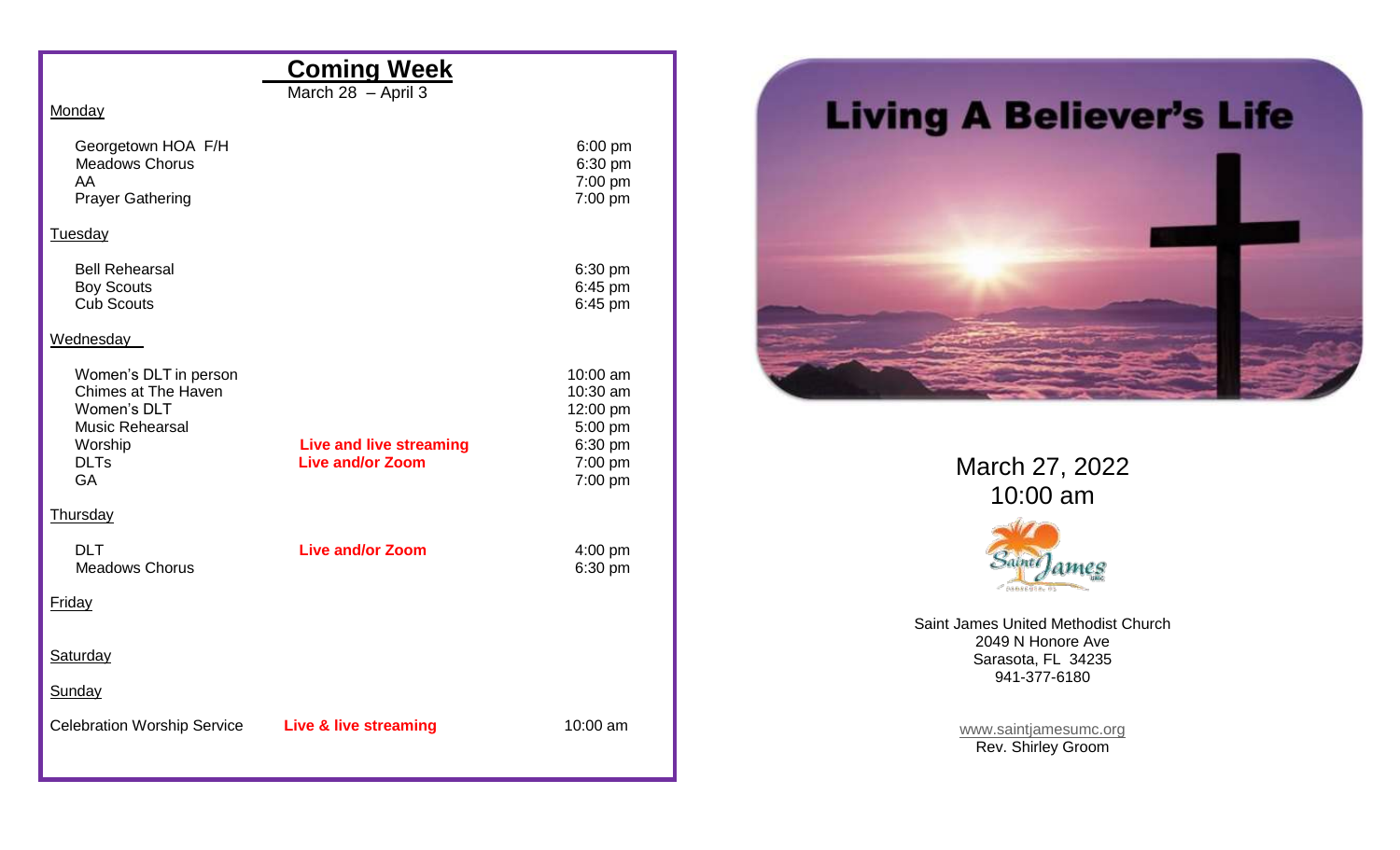## **Coming Week**

March 28 – April 3

**Monday** 

| Georgetown HOA F/H<br><b>Meadows Chorus</b><br>AA<br><b>Prayer Gathering</b>                                                        |                                                           | $6:00$ pm<br>6:30 pm<br>7:00 pm<br>7:00 pm                                   |
|-------------------------------------------------------------------------------------------------------------------------------------|-----------------------------------------------------------|------------------------------------------------------------------------------|
| Tuesday                                                                                                                             |                                                           |                                                                              |
| <b>Bell Rehearsal</b><br><b>Boy Scouts</b><br><b>Cub Scouts</b>                                                                     |                                                           | 6:30 pm<br>6:45 pm<br>6:45 pm                                                |
| Wednesday                                                                                                                           |                                                           |                                                                              |
| Women's DLT in person<br><b>Chimes at The Haven</b><br>Women's DLT<br><b>Music Rehearsal</b><br>Worship<br><b>DLTs</b><br><b>GA</b> | <b>Live and live streaming</b><br><b>Live and/or Zoom</b> | 10:00 am<br>10:30 am<br>12:00 pm<br>5:00 pm<br>6:30 pm<br>7:00 pm<br>7:00 pm |
| Thursday                                                                                                                            |                                                           |                                                                              |
| <b>DLT</b><br><b>Meadows Chorus</b><br>Friday                                                                                       | <b>Live and/or Zoom</b>                                   | $4:00$ pm<br>6:30 pm                                                         |
|                                                                                                                                     |                                                           |                                                                              |
| <b>Saturday</b>                                                                                                                     |                                                           |                                                                              |
| Sunday                                                                                                                              |                                                           |                                                                              |
| <b>Celebration Worship Service</b>                                                                                                  | Live & live streaming                                     | 10:00 am                                                                     |



March 27, 2022 10:00 am



Saint James United Methodist Church 2049 N Honore Ave Sarasota, FL 34235 941-377-6180

> [www.saintjamesumc.org](http://www.saintjamesumc.org/) Rev. Shirley Groom